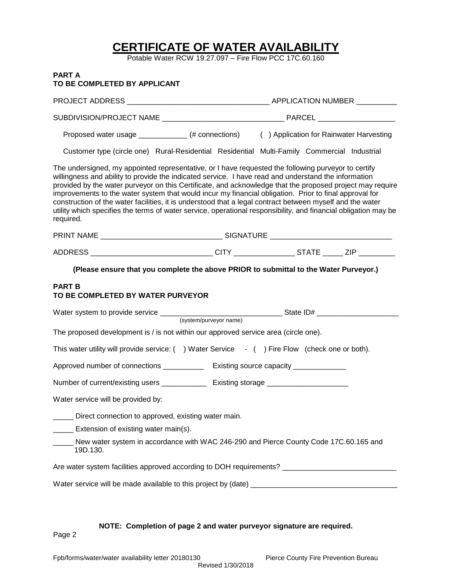# **CERTIFICATE OF WATER AVAILABILITY**

Potable Water RCW 19.27.097 – Fire Flow PCC 17C.60.160

# **PART A TO BE COMPLETED BY APPLICANT**

| Proposed water usage ____________(# connections) () Application for Rainwater Harvesting                                                                                                                                                                                                                                                                                                                                                                                                                                                                                                                                                                                        |  |  |  |  |
|---------------------------------------------------------------------------------------------------------------------------------------------------------------------------------------------------------------------------------------------------------------------------------------------------------------------------------------------------------------------------------------------------------------------------------------------------------------------------------------------------------------------------------------------------------------------------------------------------------------------------------------------------------------------------------|--|--|--|--|
| Customer type (circle one) Rural-Residential Residential Multi-Family Commercial Industrial                                                                                                                                                                                                                                                                                                                                                                                                                                                                                                                                                                                     |  |  |  |  |
| The undersigned, my appointed representative, or I have requested the following purveyor to certify<br>willingness and ability to provide the indicated service. I have read and understand the information<br>provided by the water purveyor on this Certificate, and acknowledge that the proposed project may require<br>improvements to the water system that would incur my financial obligation. Prior to final approval for<br>construction of the water facilities, it is understood that a legal contract between myself and the water<br>utility which specifies the terms of water service, operational responsibility, and financial obligation may be<br>required. |  |  |  |  |
|                                                                                                                                                                                                                                                                                                                                                                                                                                                                                                                                                                                                                                                                                 |  |  |  |  |
| ADDRESS ________________________________CITY ________________STATE ______ ZIP _________                                                                                                                                                                                                                                                                                                                                                                                                                                                                                                                                                                                         |  |  |  |  |
| (Please ensure that you complete the above PRIOR to submittal to the Water Purveyor.)                                                                                                                                                                                                                                                                                                                                                                                                                                                                                                                                                                                           |  |  |  |  |
| <b>PART B</b><br>TO BE COMPLETED BY WATER PURVEYOR                                                                                                                                                                                                                                                                                                                                                                                                                                                                                                                                                                                                                              |  |  |  |  |
|                                                                                                                                                                                                                                                                                                                                                                                                                                                                                                                                                                                                                                                                                 |  |  |  |  |
| The proposed development is / is not within our approved service area (circle one).                                                                                                                                                                                                                                                                                                                                                                                                                                                                                                                                                                                             |  |  |  |  |
| This water utility will provide service: () Water Service - () Fire Flow (check one or both).                                                                                                                                                                                                                                                                                                                                                                                                                                                                                                                                                                                   |  |  |  |  |
| Approved number of connections _______________ Existing source capacity _____________                                                                                                                                                                                                                                                                                                                                                                                                                                                                                                                                                                                           |  |  |  |  |
| Number of current/existing users ________________ Existing storage ______________                                                                                                                                                                                                                                                                                                                                                                                                                                                                                                                                                                                               |  |  |  |  |
| Water service will be provided by:                                                                                                                                                                                                                                                                                                                                                                                                                                                                                                                                                                                                                                              |  |  |  |  |
| _____ Direct connection to approved, existing water main.                                                                                                                                                                                                                                                                                                                                                                                                                                                                                                                                                                                                                       |  |  |  |  |
| Extension of existing water main(s).                                                                                                                                                                                                                                                                                                                                                                                                                                                                                                                                                                                                                                            |  |  |  |  |
| New water system in accordance with WAC 246-290 and Pierce County Code 17C.60.165 and<br>19D.130.                                                                                                                                                                                                                                                                                                                                                                                                                                                                                                                                                                               |  |  |  |  |
| Are water system facilities approved according to DOH requirements? ________________________________                                                                                                                                                                                                                                                                                                                                                                                                                                                                                                                                                                            |  |  |  |  |
|                                                                                                                                                                                                                                                                                                                                                                                                                                                                                                                                                                                                                                                                                 |  |  |  |  |
|                                                                                                                                                                                                                                                                                                                                                                                                                                                                                                                                                                                                                                                                                 |  |  |  |  |

**NOTE: Completion of page 2 and water purveyor signature are required.**

Page 2